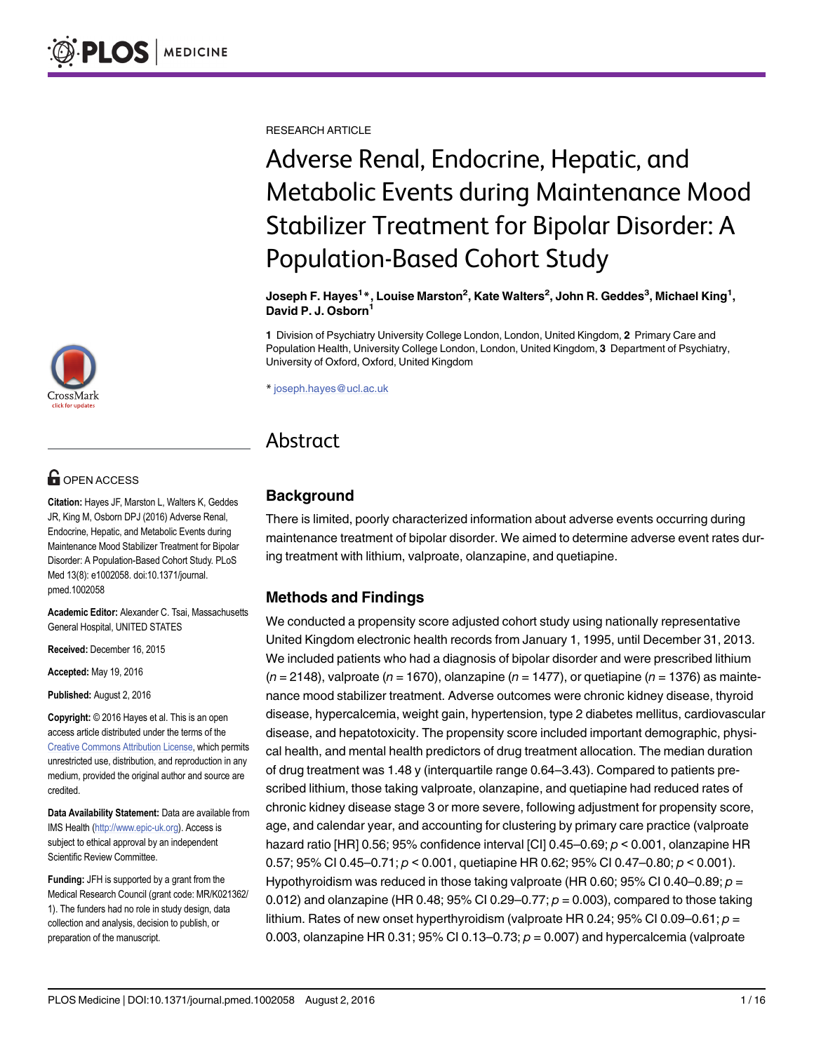RESEARCH ARTICLE

# Adverse Renal, Endocrine, Hepatic, and Metabolic Events during Maintenance Mood Stabilizer Treatment for Bipolar Disorder: A Population-Based Cohort Study

Joseph F. Hayes $^1*$ , Louise Marston $^2$ , Kate Walters $^2$ , John R. Geddes $^3$ , Michael King $^1$ , David P. J. Osborn<sup>1</sup>

1 Division of Psychiatry University College London, London, United Kingdom, 2 Primary Care and Population Health, University College London, London, United Kingdom, 3 Department of Psychiatry, University of Oxford, Oxford, United Kingdom

\* joseph.hayes@ucl.ac.uk

# Abstract

# **Background**

There is limited, poorly characterized information about adverse events occurring during maintenance treatment of bipolar disorder. We aimed to determine adverse event rates during treatment with lithium, valproate, olanzapine, and quetiapine.

# Methods and Findings

We conducted a propensity score adjusted cohort study using nationally representative United Kingdom electronic health records from January 1, 1995, until December 31, 2013. We included patients who had a diagnosis of bipolar disorder and were prescribed lithium  $(n = 2148)$ , valproate  $(n = 1670)$ , olanzapine  $(n = 1477)$ , or quetiapine  $(n = 1376)$  as maintenance mood stabilizer treatment. Adverse outcomes were chronic kidney disease, thyroid disease, hypercalcemia, weight gain, hypertension, type 2 diabetes mellitus, cardiovascular disease, and hepatotoxicity. The propensity score included important demographic, physical health, and mental health predictors of drug treatment allocation. The median duration of drug treatment was 1.48 y (interquartile range 0.64–3.43). Compared to patients prescribed lithium, those taking valproate, olanzapine, and quetiapine had reduced rates of chronic kidney disease stage 3 or more severe, following adjustment for propensity score, age, and calendar year, and accounting for clustering by primary care practice (valproate hazard ratio [HR] 0.56; 95% confidence interval [CI] 0.45–0.69; p < 0.001, olanzapine HR 0.57; 95% CI 0.45–0.71;  $p < 0.001$ , quetiapine HR 0.62; 95% CI 0.47–0.80;  $p < 0.001$ ). Hypothyroidism was reduced in those taking valproate (HR 0.60; 95% CI 0.40–0.89;  $p =$ 0.012) and olanzapine (HR 0.48; 95% CI 0.29–0.77;  $p = 0.003$ ), compared to those taking lithium. Rates of new onset hyperthyroidism (valproate HR 0.24; 95% CI 0.09–0.61;  $p =$ 0.003, olanzapine HR 0.31; 95% CI 0.13–0.73;  $p = 0.007$ ) and hypercalcemia (valproate



# **OPEN ACCESS**

Citation: Hayes JF, Marston L, Walters K, Geddes JR, King M, Osborn DPJ (2016) Adverse Renal, Endocrine, Hepatic, and Metabolic Events during Maintenance Mood Stabilizer Treatment for Bipolar Disorder: A Population-Based Cohort Study. PLoS Med 13(8): e1002058. doi:10.1371/journal. pmed.1002058

Academic Editor: Alexander C. Tsai, Massachusetts General Hospital, UNITED STATES

Received: December 16, 2015

Accepted: May 19, 2016

Published: August 2, 2016

Copyright: © 2016 Hayes et al. This is an open access article distributed under the terms of the [Creative Commons Attribution License,](http://creativecommons.org/licenses/by/4.0/) which permits unrestricted use, distribution, and reproduction in any medium, provided the original author and source are credited.

Data Availability Statement: Data are available from IMS Health [\(http://www.epic-uk.org](http://www.epic-uk.org)). Access is subject to ethical approval by an independent Scientific Review Committee.

Funding: JFH is supported by a grant from the Medical Research Council (grant code: MR/K021362/ 1). The funders had no role in study design, data collection and analysis, decision to publish, or preparation of the manuscript.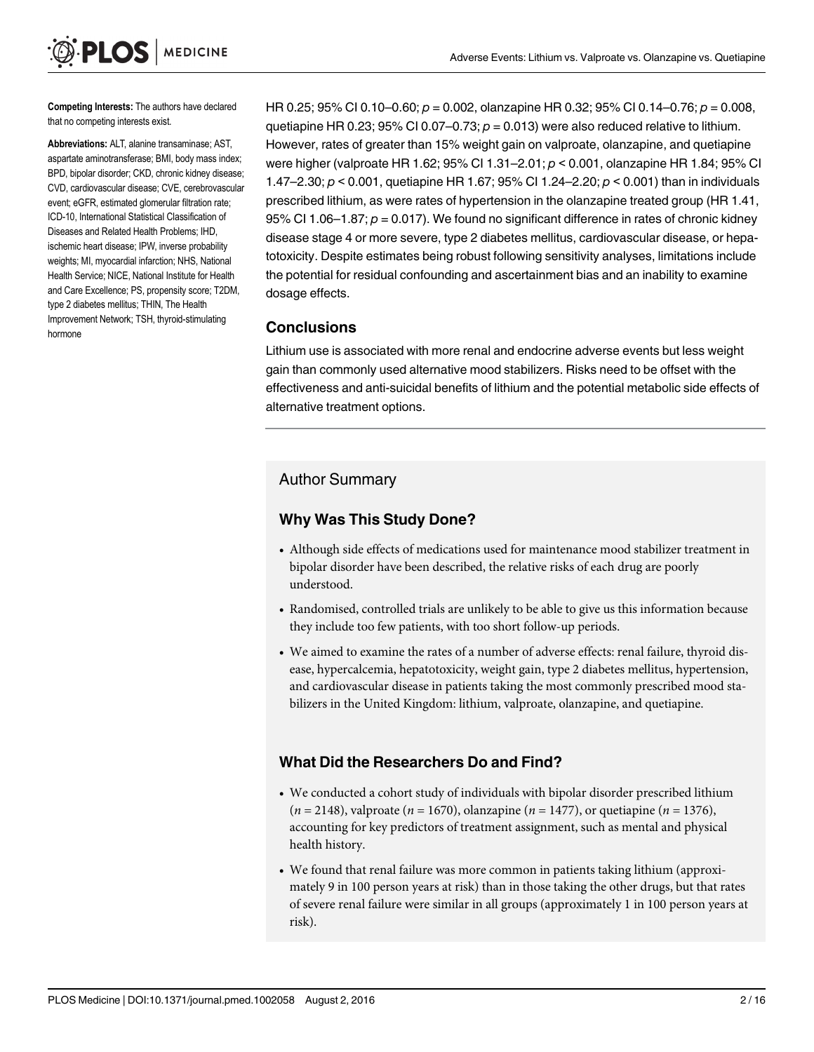Competing Interests: The authors have declared that no competing interests exist.

**MEDICINE** 

PLOS I

Abbreviations: ALT, alanine transaminase; AST, aspartate aminotransferase; BMI, body mass index; BPD, bipolar disorder; CKD, chronic kidney disease; CVD, cardiovascular disease; CVE, cerebrovascular event; eGFR, estimated glomerular filtration rate; ICD-10, International Statistical Classification of Diseases and Related Health Problems; IHD, ischemic heart disease; IPW, inverse probability weights; MI, myocardial infarction; NHS, National Health Service; NICE, National Institute for Health and Care Excellence; PS, propensity score; T2DM, type 2 diabetes mellitus; THIN, The Health Improvement Network; TSH, thyroid-stimulating hormone

HR 0.25; 95% CI 0.10–0.60;  $p = 0.002$ , olanzapine HR 0.32; 95% CI 0.14–0.76;  $p = 0.008$ , quetiapine HR 0.23; 95% CI 0.07-0.73;  $p = 0.013$ ) were also reduced relative to lithium. However, rates of greater than 15% weight gain on valproate, olanzapine, and quetiapine were higher (valproate HR 1.62; 95% CI 1.31–2.01; p < 0.001, olanzapine HR 1.84; 95% CI 1.47–2.30;  $p < 0.001$ , quetiapine HR 1.67; 95% CI 1.24–2.20;  $p < 0.001$ ) than in individuals prescribed lithium, as were rates of hypertension in the olanzapine treated group (HR 1.41, 95% CI 1.06–1.87;  $p = 0.017$ ). We found no significant difference in rates of chronic kidney disease stage 4 or more severe, type 2 diabetes mellitus, cardiovascular disease, or hepatotoxicity. Despite estimates being robust following sensitivity analyses, limitations include the potential for residual confounding and ascertainment bias and an inability to examine dosage effects.

#### **Conclusions**

Lithium use is associated with more renal and endocrine adverse events but less weight gain than commonly used alternative mood stabilizers. Risks need to be offset with the effectiveness and anti-suicidal benefits of lithium and the potential metabolic side effects of alternative treatment options.

#### Author Summary

#### Why Was This Study Done?

- Although side effects of medications used for maintenance mood stabilizer treatment in bipolar disorder have been described, the relative risks of each drug are poorly understood.
- Randomised, controlled trials are unlikely to be able to give us this information because they include too few patients, with too short follow-up periods.
- We aimed to examine the rates of a number of adverse effects: renal failure, thyroid disease, hypercalcemia, hepatotoxicity, weight gain, type 2 diabetes mellitus, hypertension, and cardiovascular disease in patients taking the most commonly prescribed mood stabilizers in the United Kingdom: lithium, valproate, olanzapine, and quetiapine.

#### What Did the Researchers Do and Find?

- We conducted a cohort study of individuals with bipolar disorder prescribed lithium  $(n = 2148)$ , valproate  $(n = 1670)$ , olanzapine  $(n = 1477)$ , or quetiapine  $(n = 1376)$ , accounting for key predictors of treatment assignment, such as mental and physical health history.
- We found that renal failure was more common in patients taking lithium (approximately 9 in 100 person years at risk) than in those taking the other drugs, but that rates of severe renal failure were similar in all groups (approximately 1 in 100 person years at risk).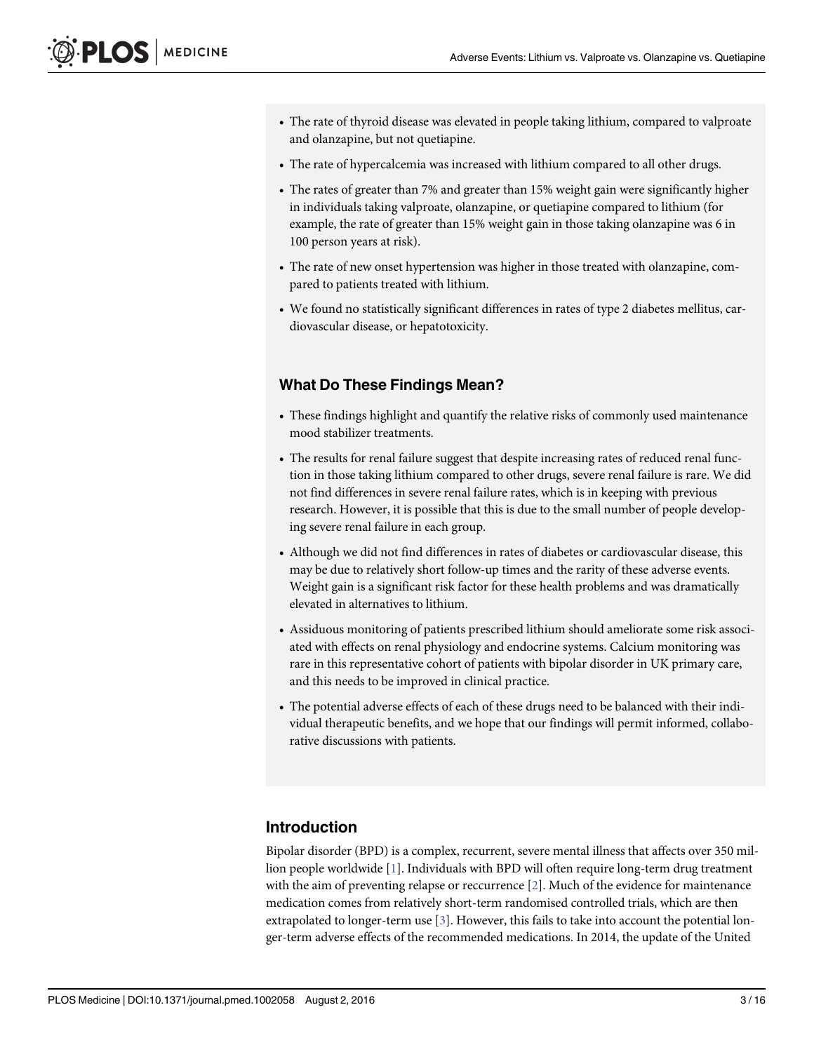- <span id="page-2-0"></span>• The rate of thyroid disease was elevated in people taking lithium, compared to valproate and olanzapine, but not quetiapine.
- The rate of hypercalcemia was increased with lithium compared to all other drugs.
- The rates of greater than 7% and greater than 15% weight gain were significantly higher in individuals taking valproate, olanzapine, or quetiapine compared to lithium (for example, the rate of greater than 15% weight gain in those taking olanzapine was 6 in 100 person years at risk).
- The rate of new onset hypertension was higher in those treated with olanzapine, compared to patients treated with lithium.
- We found no statistically significant differences in rates of type 2 diabetes mellitus, cardiovascular disease, or hepatotoxicity.

#### What Do These Findings Mean?

- These findings highlight and quantify the relative risks of commonly used maintenance mood stabilizer treatments.
- The results for renal failure suggest that despite increasing rates of reduced renal function in those taking lithium compared to other drugs, severe renal failure is rare. We did not find differences in severe renal failure rates, which is in keeping with previous research. However, it is possible that this is due to the small number of people developing severe renal failure in each group.
- Although we did not find differences in rates of diabetes or cardiovascular disease, this may be due to relatively short follow-up times and the rarity of these adverse events. Weight gain is a significant risk factor for these health problems and was dramatically elevated in alternatives to lithium.
- Assiduous monitoring of patients prescribed lithium should ameliorate some risk associated with effects on renal physiology and endocrine systems. Calcium monitoring was rare in this representative cohort of patients with bipolar disorder in UK primary care, and this needs to be improved in clinical practice.
- The potential adverse effects of each of these drugs need to be balanced with their individual therapeutic benefits, and we hope that our findings will permit informed, collaborative discussions with patients.

#### Introduction

Bipolar disorder (BPD) is a complex, recurrent, severe mental illness that affects over 350 million people worldwide [[1\]](#page-12-0). Individuals with BPD will often require long-term drug treatment with the aim of preventing relapse or reccurrence  $[2]$ . Much of the evidence for maintenance medication comes from relatively short-term randomised controlled trials, which are then extrapolated to longer-term use  $[3]$  $[3]$  $[3]$ . However, this fails to take into account the potential longer-term adverse effects of the recommended medications. In 2014, the update of the United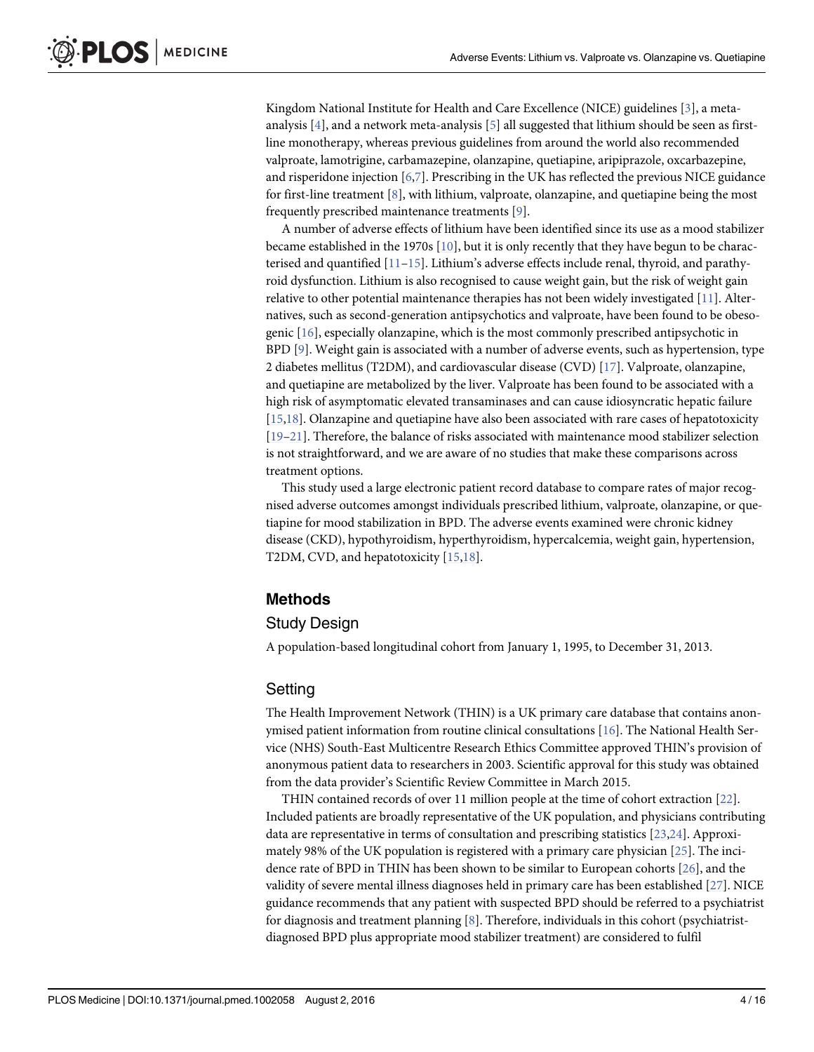<span id="page-3-0"></span>Kingdom National Institute for Health and Care Excellence (NICE) guidelines [\[3\]](#page-13-0), a metaanalysis  $[4]$  $[4]$ , and a network meta-analysis  $[5]$  $[5]$  all suggested that lithium should be seen as firstline monotherapy, whereas previous guidelines from around the world also recommended valproate, lamotrigine, carbamazepine, olanzapine, quetiapine, aripiprazole, oxcarbazepine, and risperidone injection [\[6,7\]](#page-13-0). Prescribing in the UK has reflected the previous NICE guidance for first-line treatment  $[8]$  $[8]$ , with lithium, valproate, olanzapine, and quetiapine being the most frequently prescribed maintenance treatments [\[9](#page-13-0)].

A number of adverse effects of lithium have been identified since its use as a mood stabilizer became established in the 1970s  $[10]$  $[10]$  $[10]$ , but it is only recently that they have begun to be characterised and quantified  $[11-15]$  $[11-15]$  $[11-15]$ . Lithium's adverse effects include renal, thyroid, and parathyroid dysfunction. Lithium is also recognised to cause weight gain, but the risk of weight gain relative to other potential maintenance therapies has not been widely investigated [[11](#page-13-0)]. Alternatives, such as second-generation antipsychotics and valproate, have been found to be obesogenic [[16](#page-13-0)], especially olanzapine, which is the most commonly prescribed antipsychotic in BPD [\[9](#page-13-0)]. Weight gain is associated with a number of adverse events, such as hypertension, type 2 diabetes mellitus (T2DM), and cardiovascular disease (CVD) [\[17\]](#page-13-0). Valproate, olanzapine, and quetiapine are metabolized by the liver. Valproate has been found to be associated with a high risk of asymptomatic elevated transaminases and can cause idiosyncratic hepatic failure [\[15,18\]](#page-13-0). Olanzapine and quetiapine have also been associated with rare cases of hepatotoxicity [\[19](#page-13-0)–[21\]](#page-13-0). Therefore, the balance of risks associated with maintenance mood stabilizer selection is not straightforward, and we are aware of no studies that make these comparisons across treatment options.

This study used a large electronic patient record database to compare rates of major recognised adverse outcomes amongst individuals prescribed lithium, valproate, olanzapine, or quetiapine for mood stabilization in BPD. The adverse events examined were chronic kidney disease (CKD), hypothyroidism, hyperthyroidism, hypercalcemia, weight gain, hypertension, T2DM, CVD, and hepatotoxicity [\[15,18\]](#page-13-0).

#### Methods

#### Study Design

A population-based longitudinal cohort from January 1, 1995, to December 31, 2013.

#### **Setting**

The Health Improvement Network (THIN) is a UK primary care database that contains anonymised patient information from routine clinical consultations [\[16](#page-13-0)]. The National Health Service (NHS) South-East Multicentre Research Ethics Committee approved THIN's provision of anonymous patient data to researchers in 2003. Scientific approval for this study was obtained from the data provider's Scientific Review Committee in March 2015.

THIN contained records of over 11 million people at the time of cohort extraction [[22](#page-13-0)]. Included patients are broadly representative of the UK population, and physicians contributing data are representative in terms of consultation and prescribing statistics [\[23,24](#page-13-0)]. Approximately 98% of the UK population is registered with a primary care physician [[25](#page-14-0)]. The incidence rate of BPD in THIN has been shown to be similar to European cohorts [[26](#page-14-0)], and the validity of severe mental illness diagnoses held in primary care has been established [\[27\]](#page-14-0). NICE guidance recommends that any patient with suspected BPD should be referred to a psychiatrist for diagnosis and treatment planning  $[8]$  $[8]$ . Therefore, individuals in this cohort (psychiatristdiagnosed BPD plus appropriate mood stabilizer treatment) are considered to fulfil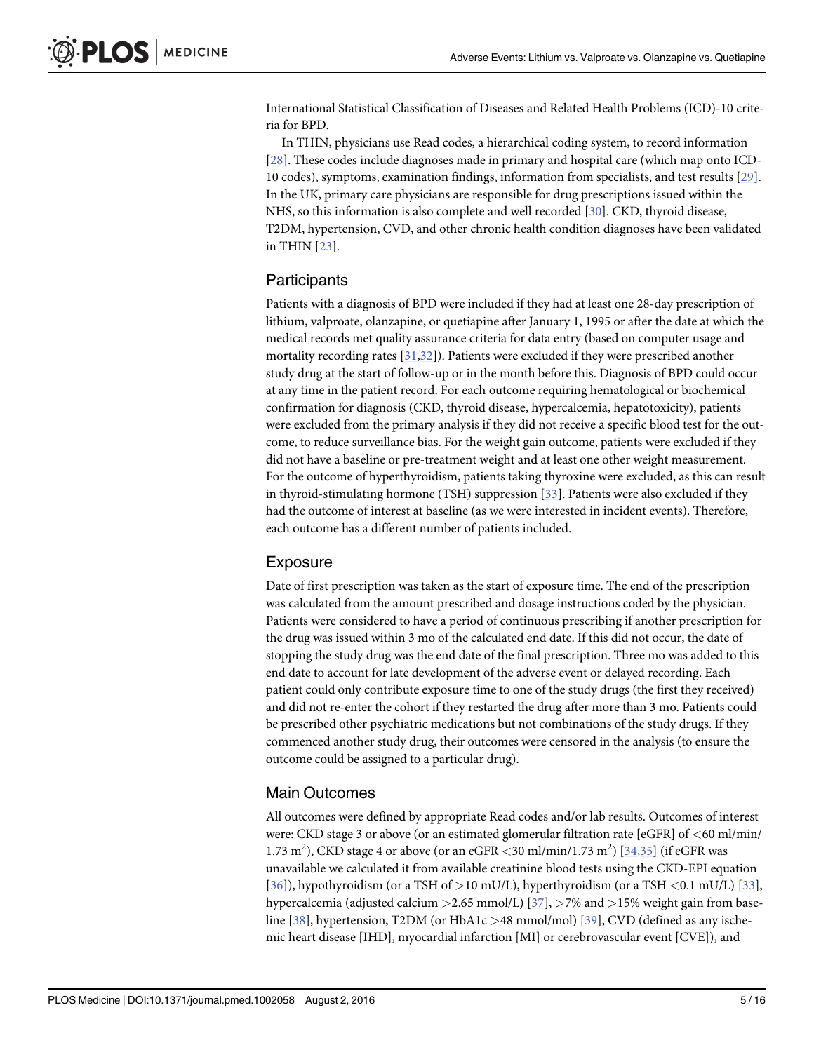<span id="page-4-0"></span>International Statistical Classification of Diseases and Related Health Problems (ICD)-10 criteria for BPD.

In THIN, physicians use Read codes, a hierarchical coding system, to record information [\[28](#page-14-0)]. These codes include diagnoses made in primary and hospital care (which map onto ICD-10 codes), symptoms, examination findings, information from specialists, and test results [[29](#page-14-0)]. In the UK, primary care physicians are responsible for drug prescriptions issued within the NHS, so this information is also complete and well recorded [\[30\]](#page-14-0). CKD, thyroid disease, T2DM, hypertension, CVD, and other chronic health condition diagnoses have been validated in THIN [\[23\]](#page-13-0).

#### **Participants**

Patients with a diagnosis of BPD were included if they had at least one 28-day prescription of lithium, valproate, olanzapine, or quetiapine after January 1, 1995 or after the date at which the medical records met quality assurance criteria for data entry (based on computer usage and mortality recording rates  $[31,32]$ . Patients were excluded if they were prescribed another study drug at the start of follow-up or in the month before this. Diagnosis of BPD could occur at any time in the patient record. For each outcome requiring hematological or biochemical confirmation for diagnosis (CKD, thyroid disease, hypercalcemia, hepatotoxicity), patients were excluded from the primary analysis if they did not receive a specific blood test for the outcome, to reduce surveillance bias. For the weight gain outcome, patients were excluded if they did not have a baseline or pre-treatment weight and at least one other weight measurement. For the outcome of hyperthyroidism, patients taking thyroxine were excluded, as this can result in thyroid-stimulating hormone (TSH) suppression [\[33\]](#page-14-0). Patients were also excluded if they had the outcome of interest at baseline (as we were interested in incident events). Therefore, each outcome has a different number of patients included.

#### Exposure

Date of first prescription was taken as the start of exposure time. The end of the prescription was calculated from the amount prescribed and dosage instructions coded by the physician. Patients were considered to have a period of continuous prescribing if another prescription for the drug was issued within 3 mo of the calculated end date. If this did not occur, the date of stopping the study drug was the end date of the final prescription. Three mo was added to this end date to account for late development of the adverse event or delayed recording. Each patient could only contribute exposure time to one of the study drugs (the first they received) and did not re-enter the cohort if they restarted the drug after more than 3 mo. Patients could be prescribed other psychiatric medications but not combinations of the study drugs. If they commenced another study drug, their outcomes were censored in the analysis (to ensure the outcome could be assigned to a particular drug).

#### Main Outcomes

All outcomes were defined by appropriate Read codes and/or lab results. Outcomes of interest were: CKD stage 3 or above (or an estimated glomerular filtration rate [eGFR] of <60 ml/min/ 1.73 m<sup>2</sup>), CKD stage 4 or above (or an eGFR <30 ml/min/1.73 m<sup>2</sup>) [[34](#page-14-0),[35](#page-14-0)] (if eGFR was unavailable we calculated it from available creatinine blood tests using the CKD-EPI equation  $[36]$  $[36]$ ), hypothyroidism (or a TSH of  $>10$  mU/L), hyperthyroidism (or a TSH <0.1 mU/L)  $[33]$  $[33]$  $[33]$ , hypercalcemia (adjusted calcium  $>2.65$  mmol/L) [[37](#page-14-0)],  $>7\%$  and  $>15\%$  weight gain from base-line [\[38\]](#page-14-0), hypertension, T2DM (or HbA1c >48 mmol/mol) [[39](#page-14-0)], CVD (defined as any ischemic heart disease [IHD], myocardial infarction [MI] or cerebrovascular event [CVE]), and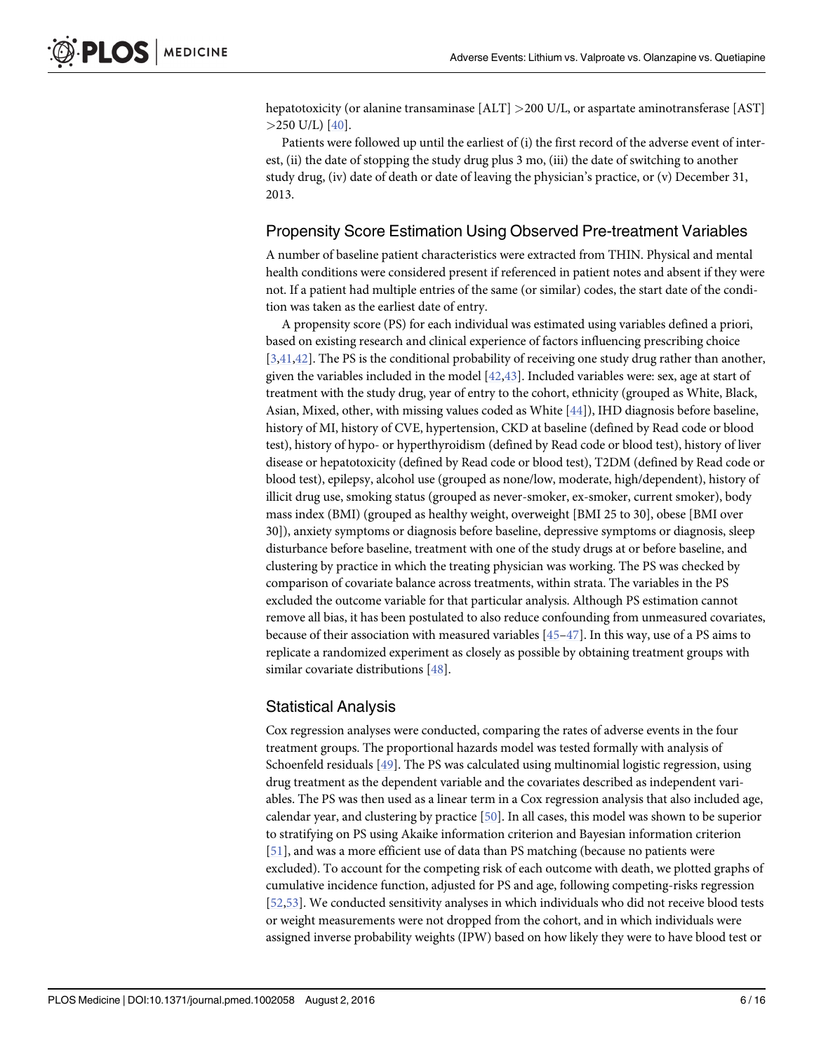<span id="page-5-0"></span>hepatotoxicity (or alanine transaminase [ALT] >200 U/L, or aspartate aminotransferase [AST]  $>$ 250 U/L) [\[40\]](#page-14-0).

Patients were followed up until the earliest of (i) the first record of the adverse event of interest, (ii) the date of stopping the study drug plus 3 mo, (iii) the date of switching to another study drug, (iv) date of death or date of leaving the physician's practice, or (v) December 31, 2013.

#### Propensity Score Estimation Using Observed Pre-treatment Variables

A number of baseline patient characteristics were extracted from THIN. Physical and mental health conditions were considered present if referenced in patient notes and absent if they were not. If a patient had multiple entries of the same (or similar) codes, the start date of the condition was taken as the earliest date of entry.

A propensity score (PS) for each individual was estimated using variables defined a priori, based on existing research and clinical experience of factors influencing prescribing choice  $[3,41,42]$  $[3,41,42]$ . The PS is the conditional probability of receiving one study drug rather than another, given the variables included in the model [[42](#page-14-0),[43](#page-14-0)]. Included variables were: sex, age at start of treatment with the study drug, year of entry to the cohort, ethnicity (grouped as White, Black, Asian, Mixed, other, with missing values coded as White [[44\]](#page-14-0)), IHD diagnosis before baseline, history of MI, history of CVE, hypertension, CKD at baseline (defined by Read code or blood test), history of hypo- or hyperthyroidism (defined by Read code or blood test), history of liver disease or hepatotoxicity (defined by Read code or blood test), T2DM (defined by Read code or blood test), epilepsy, alcohol use (grouped as none/low, moderate, high/dependent), history of illicit drug use, smoking status (grouped as never-smoker, ex-smoker, current smoker), body mass index (BMI) (grouped as healthy weight, overweight [BMI 25 to 30], obese [BMI over 30]), anxiety symptoms or diagnosis before baseline, depressive symptoms or diagnosis, sleep disturbance before baseline, treatment with one of the study drugs at or before baseline, and clustering by practice in which the treating physician was working. The PS was checked by comparison of covariate balance across treatments, within strata. The variables in the PS excluded the outcome variable for that particular analysis. Although PS estimation cannot remove all bias, it has been postulated to also reduce confounding from unmeasured covariates, because of their association with measured variables [\[45](#page-14-0)–[47\]](#page-14-0). In this way, use of a PS aims to replicate a randomized experiment as closely as possible by obtaining treatment groups with similar covariate distributions [\[48\]](#page-14-0).

#### Statistical Analysis

Cox regression analyses were conducted, comparing the rates of adverse events in the four treatment groups. The proportional hazards model was tested formally with analysis of Schoenfeld residuals [\[49](#page-14-0)]. The PS was calculated using multinomial logistic regression, using drug treatment as the dependent variable and the covariates described as independent variables. The PS was then used as a linear term in a Cox regression analysis that also included age, calendar year, and clustering by practice [\[50](#page-14-0)]. In all cases, this model was shown to be superior to stratifying on PS using Akaike information criterion and Bayesian information criterion [\[51](#page-14-0)], and was a more efficient use of data than PS matching (because no patients were excluded). To account for the competing risk of each outcome with death, we plotted graphs of cumulative incidence function, adjusted for PS and age, following competing-risks regression [\[52,53\]](#page-15-0). We conducted sensitivity analyses in which individuals who did not receive blood tests or weight measurements were not dropped from the cohort, and in which individuals were assigned inverse probability weights (IPW) based on how likely they were to have blood test or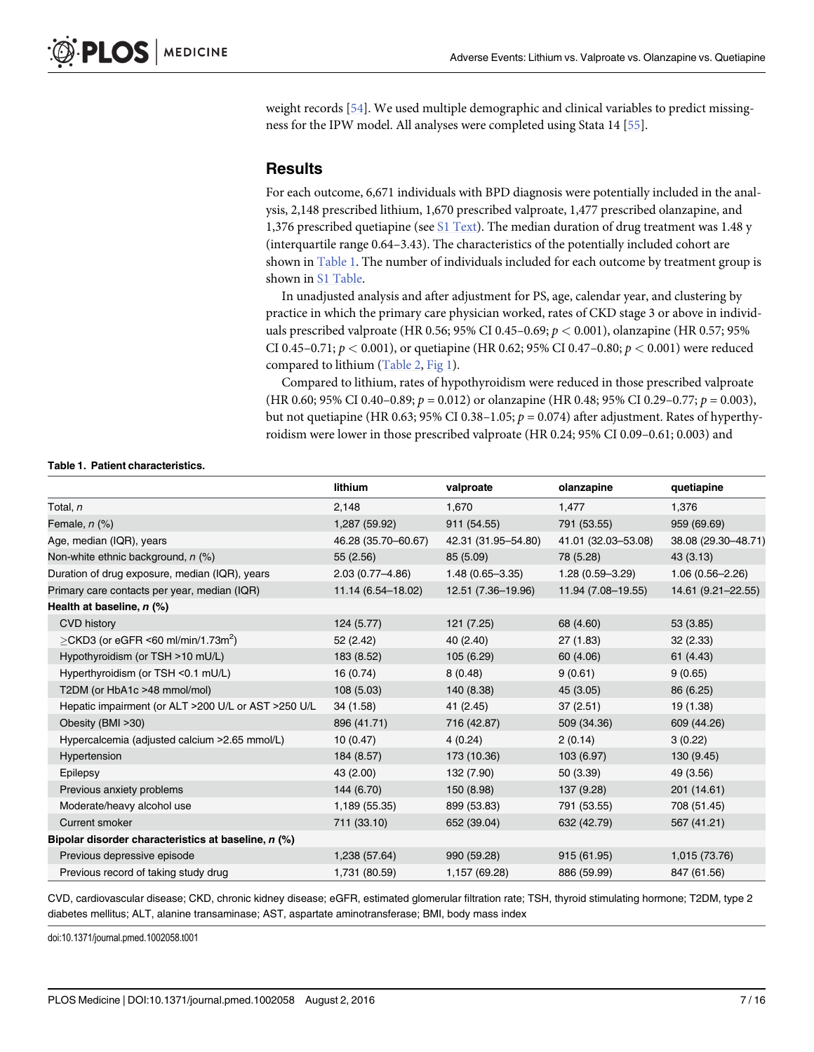<span id="page-6-0"></span>weight records [[54](#page-15-0)]. We used multiple demographic and clinical variables to predict missingness for the IPW model. All analyses were completed using Stata 14 [\[55\]](#page-15-0).

# **Results**

For each outcome, 6,671 individuals with BPD diagnosis were potentially included in the analysis, 2,148 prescribed lithium, 1,670 prescribed valproate, 1,477 prescribed olanzapine, and 1,376 prescribed quetiapine (see  $S1$  Text). The median duration of drug treatment was 1.48 y (interquartile range 0.64–3.43). The characteristics of the potentially included cohort are shown in Table 1. The number of individuals included for each outcome by treatment group is shown in [S1 Table.](#page-12-0)

In unadjusted analysis and after adjustment for PS, age, calendar year, and clustering by practice in which the primary care physician worked, rates of CKD stage 3 or above in individuals prescribed valproate (HR 0.56; 95% CI 0.45–0.69;  $p < 0.001$ ), olanzapine (HR 0.57; 95% CI 0.45–0.71;  $p < 0.001$ ), or quetiapine (HR 0.62; 95% CI 0.47–0.80;  $p < 0.001$ ) were reduced compared to lithium [\(Table 2,](#page-7-0) [Fig 1](#page-9-0)).

Compared to lithium, rates of hypothyroidism were reduced in those prescribed valproate (HR 0.60; 95% CI 0.40–0.89;  $p = 0.012$ ) or olanzapine (HR 0.48; 95% CI 0.29–0.77;  $p = 0.003$ ), but not quetiapine (HR 0.63; 95% CI 0.38–1.05;  $p = 0.074$ ) after adjustment. Rates of hyperthyroidism were lower in those prescribed valproate (HR 0.24; 95% CI 0.09–0.61; 0.003) and

#### Table 1. Patient characteristics.

|                                                      | lithium             | valproate           | olanzapine          | quetiapine          |
|------------------------------------------------------|---------------------|---------------------|---------------------|---------------------|
| Total, n                                             | 2,148               | 1,670               | 1,477               | 1,376               |
| Female, $n$ $(\%)$                                   | 1,287 (59.92)       | 911 (54.55)         | 791 (53.55)         | 959 (69.69)         |
| Age, median (IQR), years                             | 46.28 (35.70-60.67) | 42.31 (31.95-54.80) | 41.01 (32.03-53.08) | 38.08 (29.30-48.71) |
| Non-white ethnic background, n (%)                   | 55 (2.56)           | 85 (5.09)           | 78 (5.28)           | 43(3.13)            |
| Duration of drug exposure, median (IQR), years       | $2.03(0.77 - 4.86)$ | $1.48(0.65 - 3.35)$ | $1.28(0.59 - 3.29)$ | $1.06(0.56 - 2.26)$ |
| Primary care contacts per year, median (IQR)         | 11.14 (6.54-18.02)  | 12.51 (7.36-19.96)  | 11.94 (7.08-19.55)  | 14.61 (9.21-22.55)  |
| Health at baseline, $n$ (%)                          |                     |                     |                     |                     |
| <b>CVD history</b>                                   | 124 (5.77)          | 121 (7.25)          | 68 (4.60)           | 53 (3.85)           |
| $\geq$ CKD3 (or eGFR <60 ml/min/1.73m <sup>2</sup> ) | 52 (2.42)           | 40 (2.40)           | 27(1.83)            | 32(2.33)            |
| Hypothyroidism (or TSH >10 mU/L)                     | 183 (8.52)          | 105 (6.29)          | 60 (4.06)           | 61 (4.43)           |
| Hyperthyroidism (or TSH <0.1 mU/L)                   | 16 (0.74)           | 8(0.48)             | 9(0.61)             | 9(0.65)             |
| T2DM (or HbA1c >48 mmol/mol)                         | 108 (5.03)          | 140 (8.38)          | 45 (3.05)           | 86 (6.25)           |
| Hepatic impairment (or ALT >200 U/L or AST >250 U/L  | 34 (1.58)           | 41 (2.45)           | 37 (2.51)           | 19 (1.38)           |
| Obesity (BMI > 30)                                   | 896 (41.71)         | 716 (42.87)         | 509 (34.36)         | 609 (44.26)         |
| Hypercalcemia (adjusted calcium > 2.65 mmol/L)       | 10(0.47)            | 4(0.24)             | 2(0.14)             | 3(0.22)             |
| Hypertension                                         | 184 (8.57)          | 173 (10.36)         | 103 (6.97)          | 130 (9.45)          |
| Epilepsy                                             | 43 (2.00)           | 132 (7.90)          | 50(3.39)            | 49 (3.56)           |
| Previous anxiety problems                            | 144 (6.70)          | 150 (8.98)          | 137 (9.28)          | 201 (14.61)         |
| Moderate/heavy alcohol use                           | 1,189 (55.35)       | 899 (53.83)         | 791 (53.55)         | 708 (51.45)         |
| Current smoker                                       | 711 (33.10)         | 652 (39.04)         | 632 (42.79)         | 567 (41.21)         |
| Bipolar disorder characteristics at baseline, n (%)  |                     |                     |                     |                     |
| Previous depressive episode                          | 1,238 (57.64)       | 990 (59.28)         | 915 (61.95)         | 1,015 (73.76)       |
| Previous record of taking study drug                 | 1,731 (80.59)       | 1,157 (69.28)       | 886 (59.99)         | 847 (61.56)         |

CVD, cardiovascular disease; CKD, chronic kidney disease; eGFR, estimated glomerular filtration rate; TSH, thyroid stimulating hormone; T2DM, type 2 diabetes mellitus; ALT, alanine transaminase; AST, aspartate aminotransferase; BMI, body mass index

doi:10.1371/journal.pmed.1002058.t001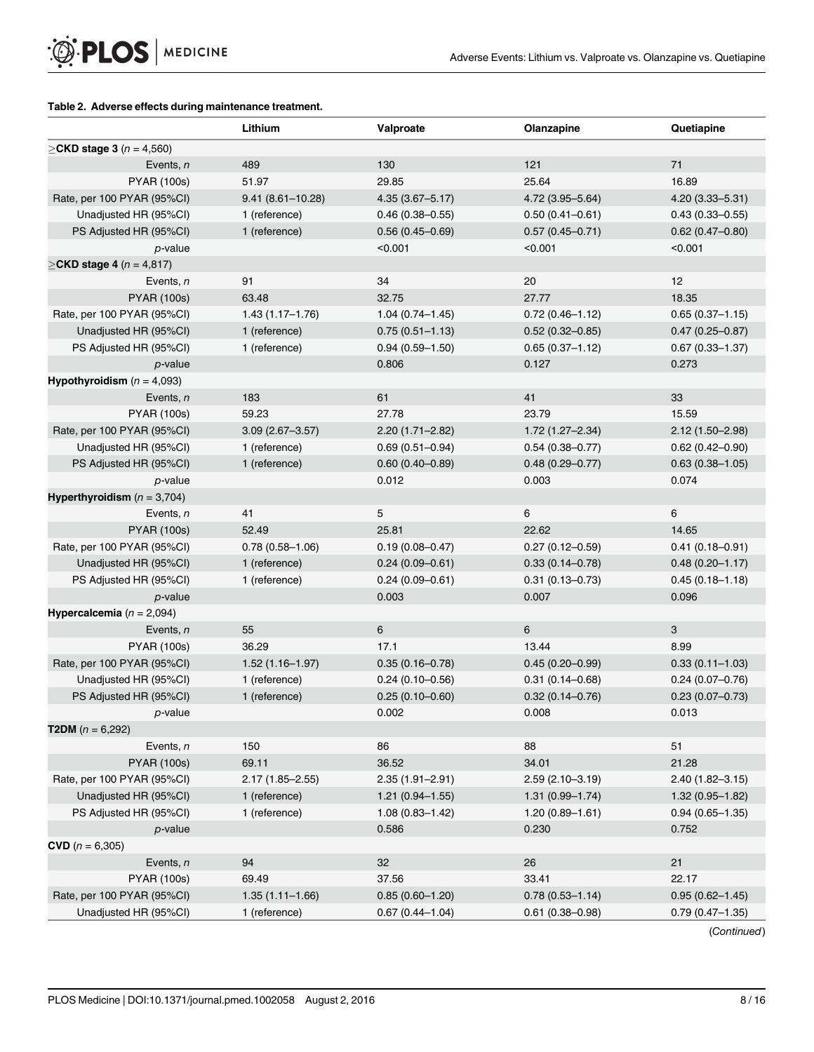#### <span id="page-7-0"></span>[Table 2.](#page-6-0) Adverse effects during maintenance treatment.

|                                          | Lithium              | Valproate           | Olanzapine          | Quetiapine          |
|------------------------------------------|----------------------|---------------------|---------------------|---------------------|
| $≥$ CKD stage 3 ( <i>n</i> = 4,560)      |                      |                     |                     |                     |
| Events, n                                | 489                  | 130                 | 121                 | 71                  |
| <b>PYAR (100s)</b>                       | 51.97                | 29.85               | 25.64               | 16.89               |
| Rate, per 100 PYAR (95%CI)               | $9.41(8.61 - 10.28)$ | $4.35(3.67 - 5.17)$ | 4.72 (3.95-5.64)    | $4.20(3.33 - 5.31)$ |
| Unadjusted HR (95%CI)                    | 1 (reference)        | $0.46(0.38 - 0.55)$ | $0.50(0.41 - 0.61)$ | $0.43(0.33 - 0.55)$ |
| PS Adjusted HR (95%CI)                   | 1 (reference)        | $0.56(0.45 - 0.69)$ | $0.57(0.45 - 0.71)$ | $0.62(0.47 - 0.80)$ |
| p-value                                  |                      | < 0.001             | < 0.001             | < 0.001             |
| ≥ <b>CKD stage 4</b> ( <i>n</i> = 4,817) |                      |                     |                     |                     |
| Events, n                                | 91                   | 34                  | 20                  | 12                  |
| <b>PYAR (100s)</b>                       | 63.48                | 32.75               | 27.77               | 18.35               |
| Rate, per 100 PYAR (95%Cl)               | $1.43(1.17 - 1.76)$  | $1.04(0.74 - 1.45)$ | $0.72(0.46 - 1.12)$ | $0.65(0.37 - 1.15)$ |
| Unadjusted HR (95%CI)                    | 1 (reference)        | $0.75(0.51 - 1.13)$ | $0.52(0.32 - 0.85)$ | $0.47(0.25 - 0.87)$ |
| PS Adjusted HR (95%CI)                   | 1 (reference)        | $0.94(0.59 - 1.50)$ | $0.65(0.37 - 1.12)$ | $0.67(0.33 - 1.37)$ |
| <i>p</i> -value                          |                      | 0.806               | 0.127               | 0.273               |
| Hypothyroidism ( $n = 4,093$ )           |                      |                     |                     |                     |
| Events, n                                | 183                  | 61                  | 41                  | 33                  |
| <b>PYAR (100s)</b>                       | 59.23                | 27.78               | 23.79               | 15.59               |
| Rate, per 100 PYAR (95%CI)               | $3.09(2.67 - 3.57)$  | $2.20(1.71 - 2.82)$ | 1.72 (1.27-2.34)    | $2.12(1.50 - 2.98)$ |
| Unadjusted HR (95%CI)                    | 1 (reference)        | $0.69(0.51 - 0.94)$ | $0.54(0.38 - 0.77)$ | $0.62(0.42 - 0.90)$ |
| PS Adjusted HR (95%CI)                   | 1 (reference)        | $0.60(0.40 - 0.89)$ | $0.48(0.29 - 0.77)$ | $0.63(0.38 - 1.05)$ |
| p-value                                  |                      | 0.012               | 0.003               | 0.074               |
| Hyperthyroidism ( $n = 3,704$ )          |                      |                     |                     |                     |
| Events, n                                | 41                   | 5                   | 6                   | 6                   |
| <b>PYAR (100s)</b>                       | 52.49                | 25.81               | 22.62               | 14.65               |
| Rate, per 100 PYAR (95%CI)               | $0.78(0.58 - 1.06)$  | $0.19(0.08 - 0.47)$ | $0.27(0.12 - 0.59)$ | $0.41(0.18 - 0.91)$ |
| Unadjusted HR (95%CI)                    | 1 (reference)        | $0.24(0.09 - 0.61)$ | $0.33(0.14 - 0.78)$ | $0.48(0.20 - 1.17)$ |
| PS Adjusted HR (95%CI)                   | 1 (reference)        | $0.24(0.09 - 0.61)$ | $0.31(0.13 - 0.73)$ | $0.45(0.18 - 1.18)$ |
| <i>p</i> -value                          |                      | 0.003               | 0.007               | 0.096               |
| Hypercalcemia ( $n = 2,094$ )            |                      |                     |                     |                     |
| Events, n                                | 55                   | 6                   | 6                   | 3                   |
| <b>PYAR (100s)</b>                       | 36.29                | 17.1                | 13.44               | 8.99                |
| Rate, per 100 PYAR (95%CI)               | $1.52(1.16 - 1.97)$  | $0.35(0.16 - 0.78)$ | $0.45(0.20 - 0.99)$ | $0.33(0.11 - 1.03)$ |
| Unadjusted HR (95%CI)                    | 1 (reference)        | $0.24(0.10-0.56)$   | $0.31(0.14 - 0.68)$ | $0.24(0.07 - 0.76)$ |
| PS Adjusted HR (95%CI)                   | 1 (reference)        | $0.25(0.10-0.60)$   | $0.32(0.14 - 0.76)$ | $0.23(0.07 - 0.73)$ |
| p-value                                  |                      | 0.002               | 0.008               | 0.013               |
| <b>T2DM</b> ( $n = 6,292$ )              |                      |                     |                     |                     |
| Events, n                                | 150                  | 86                  | 88                  | 51                  |
| <b>PYAR (100s)</b>                       | 69.11                | 36.52               | 34.01               | 21.28               |
| Rate, per 100 PYAR (95%Cl)               | $2.17(1.85 - 2.55)$  | $2.35(1.91 - 2.91)$ | $2.59(2.10-3.19)$   | 2.40 (1.82-3.15)    |
| Unadjusted HR (95%CI)                    | 1 (reference)        | $1.21(0.94 - 1.55)$ | $1.31(0.99 - 1.74)$ | $1.32(0.95 - 1.82)$ |
| PS Adjusted HR (95%CI)                   | 1 (reference)        | $1.08(0.83 - 1.42)$ | $1.20(0.89 - 1.61)$ | $0.94(0.65 - 1.35)$ |
| $p$ -value                               |                      | 0.586               | 0.230               | 0.752               |
| <b>CVD</b> ( $n = 6,305$ )               |                      |                     |                     |                     |
| Events, n                                | 94                   | 32                  | 26                  | 21                  |
| <b>PYAR (100s)</b>                       | 69.49                | 37.56               | 33.41               | 22.17               |
| Rate, per 100 PYAR (95%CI)               | $1.35(1.11 - 1.66)$  | $0.85(0.60 - 1.20)$ | $0.78(0.53 - 1.14)$ | $0.95(0.62 - 1.45)$ |
| Unadjusted HR (95%CI)                    | 1 (reference)        | $0.67(0.44 - 1.04)$ | $0.61(0.38 - 0.98)$ | $0.79(0.47 - 1.35)$ |

(Continued)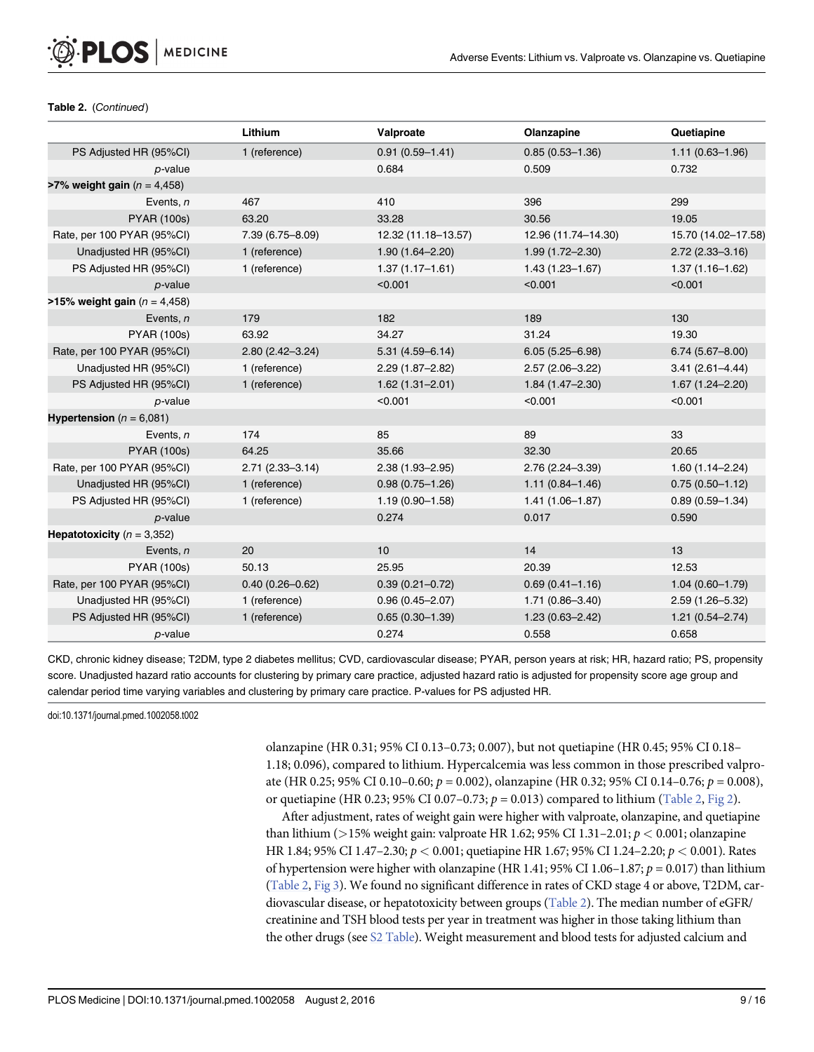<span id="page-8-0"></span>

| Table 2. (Continued) |
|----------------------|
|                      |

|                                           | Lithium             | Valproate           | Olanzapine          | Quetiapine          |
|-------------------------------------------|---------------------|---------------------|---------------------|---------------------|
| PS Adjusted HR (95%CI)                    | 1 (reference)       | $0.91(0.59 - 1.41)$ | $0.85(0.53 - 1.36)$ | $1.11(0.63 - 1.96)$ |
| $p$ -value                                |                     | 0.684               | 0.509               | 0.732               |
| <b>&gt;7% weight gain</b> ( $n = 4,458$ ) |                     |                     |                     |                     |
| Events, $n$                               | 467                 | 410                 | 396                 | 299                 |
| <b>PYAR (100s)</b>                        | 63.20               | 33.28               | 30.56               | 19.05               |
| Rate, per 100 PYAR (95%CI)                | 7.39 (6.75-8.09)    | 12.32 (11.18-13.57) | 12.96 (11.74-14.30) | 15.70 (14.02-17.58) |
| Unadjusted HR (95%CI)                     | 1 (reference)       | $1.90(1.64 - 2.20)$ | $1.99(1.72 - 2.30)$ | $2.72(2.33 - 3.16)$ |
| PS Adjusted HR (95%CI)                    | 1 (reference)       | $1.37(1.17 - 1.61)$ | $1.43(1.23 - 1.67)$ | $1.37(1.16 - 1.62)$ |
| $p$ -value                                |                     | < 0.001             | < 0.001             | < 0.001             |
| >15% weight gain ( $n = 4,458$ )          |                     |                     |                     |                     |
| Events, n                                 | 179                 | 182                 | 189                 | 130                 |
| <b>PYAR (100s)</b>                        | 63.92               | 34.27               | 31.24               | 19.30               |
| Rate, per 100 PYAR (95%CI)                | 2.80 (2.42-3.24)    | $5.31(4.59 - 6.14)$ | $6.05(5.25 - 6.98)$ | $6.74(5.67 - 8.00)$ |
| Unadjusted HR (95%CI)                     | 1 (reference)       | $2.29(1.87 - 2.82)$ | $2.57(2.06 - 3.22)$ | $3.41(2.61 - 4.44)$ |
| PS Adjusted HR (95%CI)                    | 1 (reference)       | $1.62(1.31 - 2.01)$ | $1.84(1.47 - 2.30)$ | $1.67(1.24 - 2.20)$ |
| $p$ -value                                |                     | < 0.001             | < 0.001             | < 0.001             |
| <b>Hypertension</b> ( $n = 6,081$ )       |                     |                     |                     |                     |
| Events, $n$                               | 174                 | 85                  | 89                  | 33                  |
| <b>PYAR (100s)</b>                        | 64.25               | 35.66               | 32.30               | 20.65               |
| Rate, per 100 PYAR (95%Cl)                | $2.71(2.33 - 3.14)$ | 2.38 (1.93-2.95)    | $2.76(2.24 - 3.39)$ | $1.60(1.14 - 2.24)$ |
| Unadjusted HR (95%CI)                     | 1 (reference)       | $0.98(0.75 - 1.26)$ | $1.11(0.84 - 1.46)$ | $0.75(0.50 - 1.12)$ |
| PS Adjusted HR (95%CI)                    | 1 (reference)       | $1.19(0.90 - 1.58)$ | $1.41(1.06 - 1.87)$ | $0.89(0.59 - 1.34)$ |
| $p$ -value                                |                     | 0.274               | 0.017               | 0.590               |
| Hepatotoxicity ( $n = 3,352$ )            |                     |                     |                     |                     |
| Events, n                                 | 20                  | 10                  | 14                  | 13                  |
| <b>PYAR (100s)</b>                        | 50.13               | 25.95               | 20.39               | 12.53               |
| Rate, per 100 PYAR (95%CI)                | $0.40(0.26 - 0.62)$ | $0.39(0.21 - 0.72)$ | $0.69(0.41 - 1.16)$ | $1.04(0.60 - 1.79)$ |
| Unadjusted HR (95%CI)                     | 1 (reference)       | $0.96(0.45 - 2.07)$ | $1.71(0.86 - 3.40)$ | 2.59 (1.26-5.32)    |
| PS Adjusted HR (95%CI)                    | 1 (reference)       | $0.65(0.30 - 1.39)$ | $1.23(0.63 - 2.42)$ | $1.21(0.54 - 2.74)$ |
| $p$ -value                                |                     | 0.274               | 0.558               | 0.658               |

CKD, chronic kidney disease; T2DM, type 2 diabetes mellitus; CVD, cardiovascular disease; PYAR, person years at risk; HR, hazard ratio; PS, propensity score. Unadjusted hazard ratio accounts for clustering by primary care practice, adjusted hazard ratio is adjusted for propensity score age group and calendar period time varying variables and clustering by primary care practice. P-values for PS adjusted HR.

doi:10.1371/journal.pmed.1002058.t002

olanzapine (HR 0.31; 95% CI 0.13–0.73; 0.007), but not quetiapine (HR 0.45; 95% CI 0.18– 1.18; 0.096), compared to lithium. Hypercalcemia was less common in those prescribed valproate (HR 0.25; 95% CI 0.10–0.60;  $p = 0.002$ ), olanzapine (HR 0.32; 95% CI 0.14–0.76;  $p = 0.008$ ), or quetiapine (HR 0.23; 95% CI 0.07–0.73;  $p = 0.013$ ) compared to lithium ([Table 2,](#page-7-0) [Fig 2\)](#page-9-0).

After adjustment, rates of weight gain were higher with valproate, olanzapine, and quetiapine than lithium ( $>15\%$  weight gain: valproate HR 1.62; 95% CI 1.31–2.01;  $p < 0.001$ ; olanzapine HR 1.84; 95% CI 1.47–2.30; p < 0.001; quetiapine HR 1.67; 95% CI 1.24–2.20; p < 0.001). Rates of hypertension were higher with olanzapine (HR 1.41; 95% CI 1.06–1.87;  $p = 0.017$ ) than lithium [\(Table 2,](#page-7-0) [Fig 3](#page-10-0)). We found no significant difference in rates of CKD stage 4 or above, T2DM, car-diovascular disease, or hepatotoxicity between groups ([Table 2](#page-7-0)). The median number of eGFR/ creatinine and TSH blood tests per year in treatment was higher in those taking lithium than the other drugs (see [S2 Table\)](#page-12-0). Weight measurement and blood tests for adjusted calcium and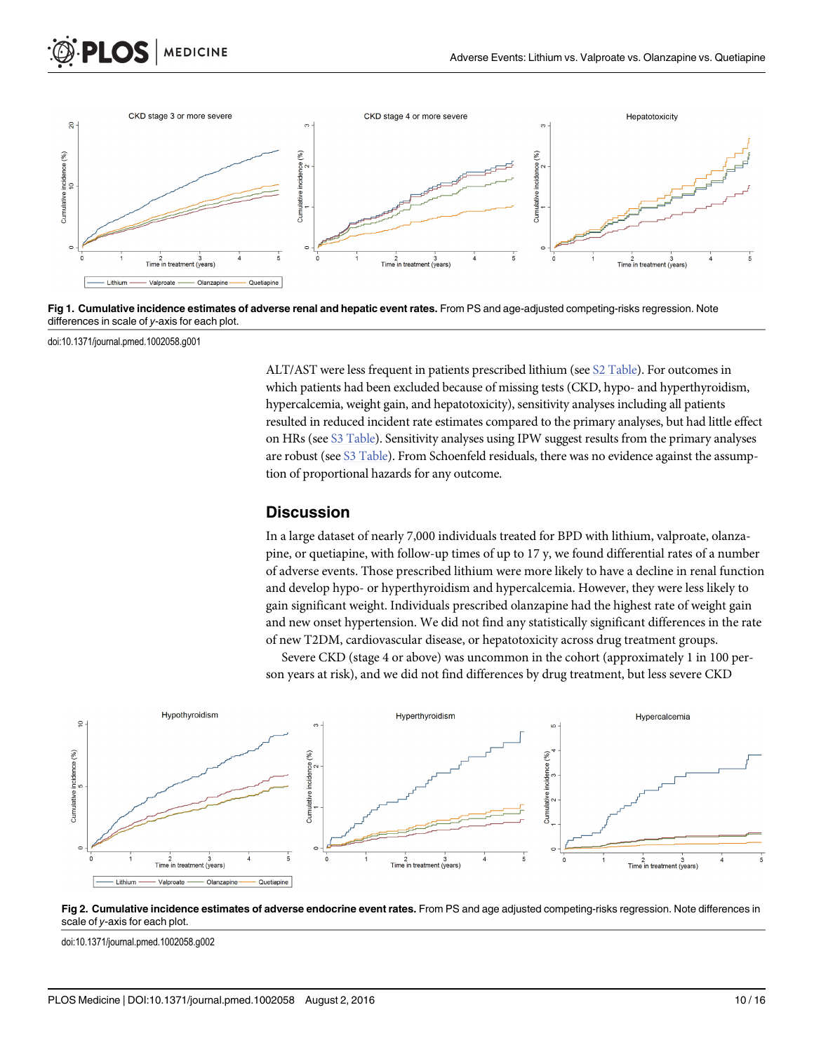<span id="page-9-0"></span>

[Fig 1. C](#page-6-0)umulative incidence estimates of adverse renal and hepatic event rates. From PS and age-adjusted competing-risks regression. Note differences in scale of y-axis for each plot.

doi:10.1371/journal.pmed.1002058.g001

ALT/AST were less frequent in patients prescribed lithium (see [S2 Table](#page-12-0)). For outcomes in which patients had been excluded because of missing tests (CKD, hypo- and hyperthyroidism, hypercalcemia, weight gain, and hepatotoxicity), sensitivity analyses including all patients resulted in reduced incident rate estimates compared to the primary analyses, but had little effect on HRs (see [S3 Table](#page-12-0)). Sensitivity analyses using IPW suggest results from the primary analyses are robust (see [S3 Table\)](#page-12-0). From Schoenfeld residuals, there was no evidence against the assumption of proportional hazards for any outcome.

#### **Discussion**

In a large dataset of nearly 7,000 individuals treated for BPD with lithium, valproate, olanzapine, or quetiapine, with follow-up times of up to 17 y, we found differential rates of a number of adverse events. Those prescribed lithium were more likely to have a decline in renal function and develop hypo- or hyperthyroidism and hypercalcemia. However, they were less likely to gain significant weight. Individuals prescribed olanzapine had the highest rate of weight gain and new onset hypertension. We did not find any statistically significant differences in the rate of new T2DM, cardiovascular disease, or hepatotoxicity across drug treatment groups.

Severe CKD (stage 4 or above) was uncommon in the cohort (approximately 1 in 100 person years at risk), and we did not find differences by drug treatment, but less severe CKD





doi:10.1371/journal.pmed.1002058.g002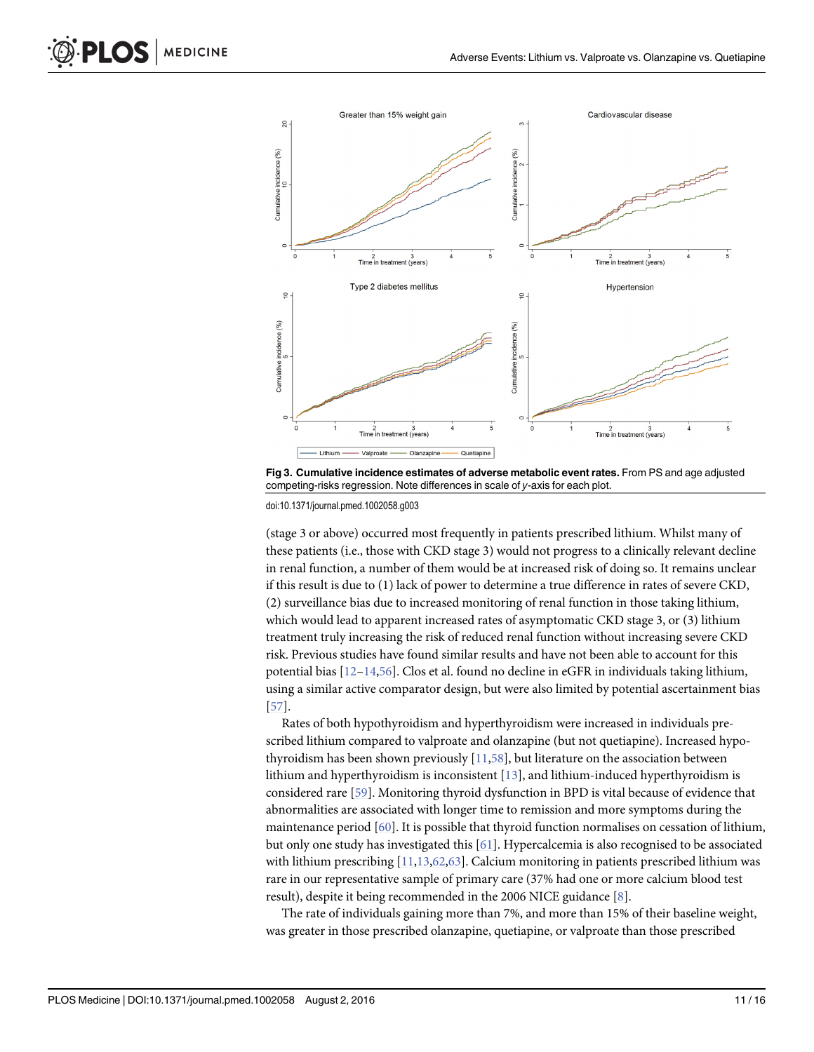<span id="page-10-0"></span>

[Fig 3. C](#page-8-0)umulative incidence estimates of adverse metabolic event rates. From PS and age adjusted competing-risks regression. Note differences in scale of y-axis for each plot.

doi:10.1371/journal.pmed.1002058.g003

(stage 3 or above) occurred most frequently in patients prescribed lithium. Whilst many of these patients (i.e., those with CKD stage 3) would not progress to a clinically relevant decline in renal function, a number of them would be at increased risk of doing so. It remains unclear if this result is due to (1) lack of power to determine a true difference in rates of severe CKD, (2) surveillance bias due to increased monitoring of renal function in those taking lithium, which would lead to apparent increased rates of asymptomatic CKD stage 3, or (3) lithium treatment truly increasing the risk of reduced renal function without increasing severe CKD risk. Previous studies have found similar results and have not been able to account for this potential bias [[12](#page-13-0)–[14](#page-13-0)[,56\]](#page-15-0). Clos et al. found no decline in eGFR in individuals taking lithium, using a similar active comparator design, but were also limited by potential ascertainment bias [\[57](#page-15-0)].

Rates of both hypothyroidism and hyperthyroidism were increased in individuals prescribed lithium compared to valproate and olanzapine (but not quetiapine). Increased hypothyroidism has been shown previously  $[11,58]$  $[11,58]$  $[11,58]$  $[11,58]$ , but literature on the association between lithium and hyperthyroidism is inconsistent [[13\]](#page-13-0), and lithium-induced hyperthyroidism is considered rare [[59\]](#page-15-0). Monitoring thyroid dysfunction in BPD is vital because of evidence that abnormalities are associated with longer time to remission and more symptoms during the maintenance period [[60](#page-15-0)]. It is possible that thyroid function normalises on cessation of lithium, but only one study has investigated this [\[61\]](#page-15-0). Hypercalcemia is also recognised to be associated with lithium prescribing  $[11, 13, 62, 63]$  $[11, 13, 62, 63]$  $[11, 13, 62, 63]$  $[11, 13, 62, 63]$  $[11, 13, 62, 63]$ . Calcium monitoring in patients prescribed lithium was rare in our representative sample of primary care (37% had one or more calcium blood test result), despite it being recommended in the 2006 NICE guidance [[8](#page-13-0)].

The rate of individuals gaining more than 7%, and more than 15% of their baseline weight, was greater in those prescribed olanzapine, quetiapine, or valproate than those prescribed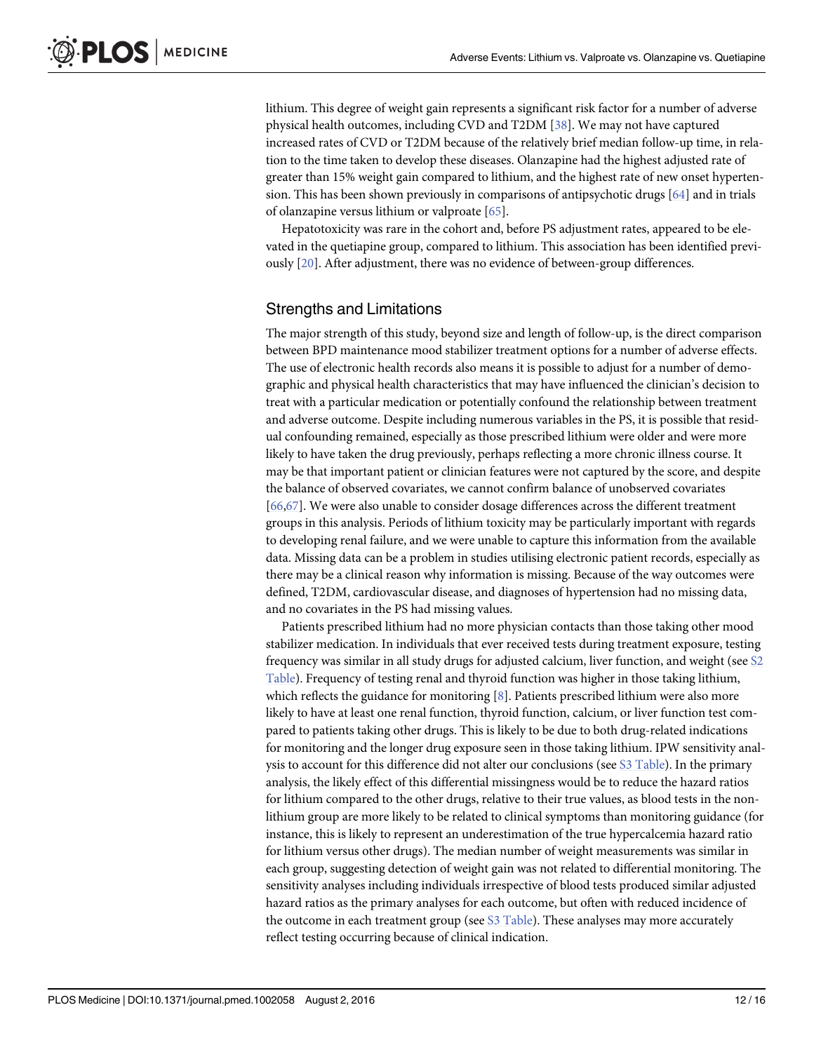<span id="page-11-0"></span>lithium. This degree of weight gain represents a significant risk factor for a number of adverse physical health outcomes, including CVD and T2DM [\[38\]](#page-14-0). We may not have captured increased rates of CVD or T2DM because of the relatively brief median follow-up time, in relation to the time taken to develop these diseases. Olanzapine had the highest adjusted rate of greater than 15% weight gain compared to lithium, and the highest rate of new onset hypertension. This has been shown previously in comparisons of antipsychotic drugs  $[64]$  and in trials of olanzapine versus lithium or valproate [[65](#page-15-0)].

Hepatotoxicity was rare in the cohort and, before PS adjustment rates, appeared to be elevated in the quetiapine group, compared to lithium. This association has been identified previously [[20](#page-13-0)]. After adjustment, there was no evidence of between-group differences.

# Strengths and Limitations

The major strength of this study, beyond size and length of follow-up, is the direct comparison between BPD maintenance mood stabilizer treatment options for a number of adverse effects. The use of electronic health records also means it is possible to adjust for a number of demographic and physical health characteristics that may have influenced the clinician's decision to treat with a particular medication or potentially confound the relationship between treatment and adverse outcome. Despite including numerous variables in the PS, it is possible that residual confounding remained, especially as those prescribed lithium were older and were more likely to have taken the drug previously, perhaps reflecting a more chronic illness course. It may be that important patient or clinician features were not captured by the score, and despite the balance of observed covariates, we cannot confirm balance of unobserved covariates [\[66,67\]](#page-15-0). We were also unable to consider dosage differences across the different treatment groups in this analysis. Periods of lithium toxicity may be particularly important with regards to developing renal failure, and we were unable to capture this information from the available data. Missing data can be a problem in studies utilising electronic patient records, especially as there may be a clinical reason why information is missing. Because of the way outcomes were defined, T2DM, cardiovascular disease, and diagnoses of hypertension had no missing data, and no covariates in the PS had missing values.

Patients prescribed lithium had no more physician contacts than those taking other mood stabilizer medication. In individuals that ever received tests during treatment exposure, testing frequency was similar in all study drugs for adjusted calcium, liver function, and weight (see [S2](#page-12-0) [Table](#page-12-0)). Frequency of testing renal and thyroid function was higher in those taking lithium, which reflects the guidance for monitoring  $[8]$  $[8]$ . Patients prescribed lithium were also more likely to have at least one renal function, thyroid function, calcium, or liver function test compared to patients taking other drugs. This is likely to be due to both drug-related indications for monitoring and the longer drug exposure seen in those taking lithium. IPW sensitivity analysis to account for this difference did not alter our conclusions (see [S3 Table](#page-12-0)). In the primary analysis, the likely effect of this differential missingness would be to reduce the hazard ratios for lithium compared to the other drugs, relative to their true values, as blood tests in the nonlithium group are more likely to be related to clinical symptoms than monitoring guidance (for instance, this is likely to represent an underestimation of the true hypercalcemia hazard ratio for lithium versus other drugs). The median number of weight measurements was similar in each group, suggesting detection of weight gain was not related to differential monitoring. The sensitivity analyses including individuals irrespective of blood tests produced similar adjusted hazard ratios as the primary analyses for each outcome, but often with reduced incidence of the outcome in each treatment group (see  $S3$  Table). These analyses may more accurately reflect testing occurring because of clinical indication.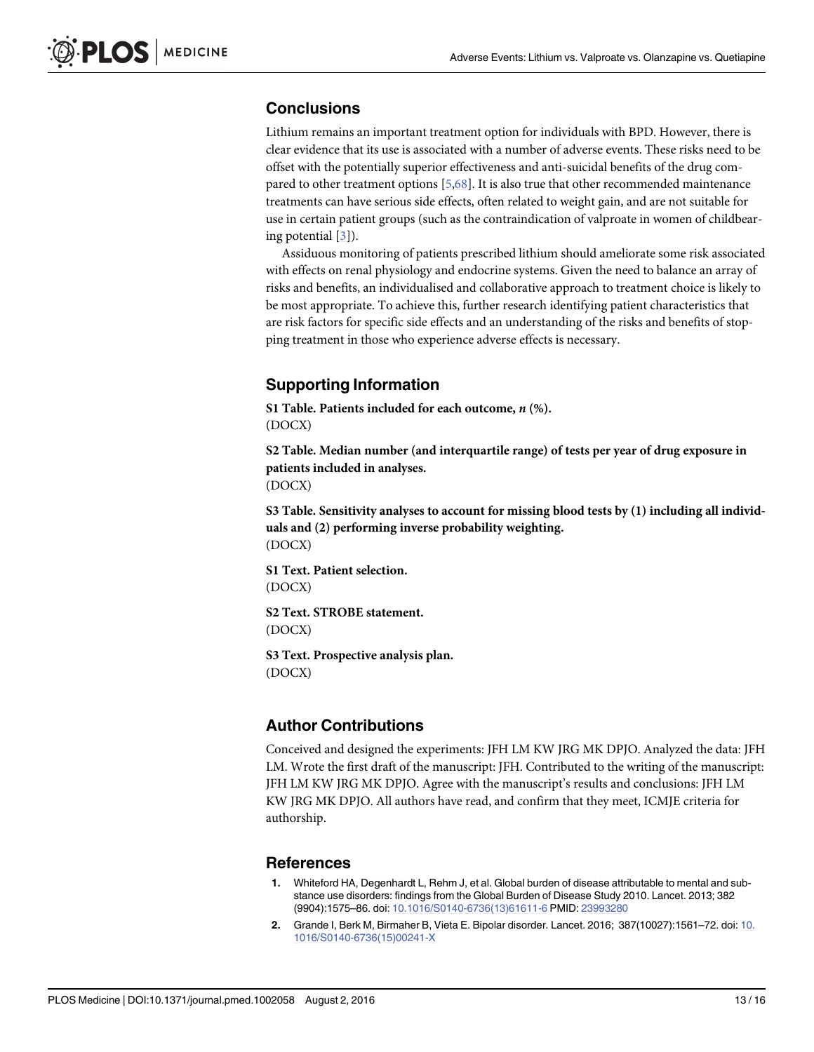# <span id="page-12-0"></span>**Conclusions**

Lithium remains an important treatment option for individuals with BPD. However, there is clear evidence that its use is associated with a number of adverse events. These risks need to be offset with the potentially superior effectiveness and anti-suicidal benefits of the drug compared to other treatment options [\[5](#page-13-0)[,68\]](#page-15-0). It is also true that other recommended maintenance treatments can have serious side effects, often related to weight gain, and are not suitable for use in certain patient groups (such as the contraindication of valproate in women of childbearing potential [[3\]](#page-13-0)).

Assiduous monitoring of patients prescribed lithium should ameliorate some risk associated with effects on renal physiology and endocrine systems. Given the need to balance an array of risks and benefits, an individualised and collaborative approach to treatment choice is likely to be most appropriate. To achieve this, further research identifying patient characteristics that are risk factors for specific side effects and an understanding of the risks and benefits of stopping treatment in those who experience adverse effects is necessary.

# Supporting Information

[S1 Table](http://journals.plos.org/plosmedicine/article/asset?unique&id=info:doi/10.1371/journal.pmed.1002058.s001). Patients included for each outcome,  $n$   $%$ ). (DOCX)

[S2 Table](http://journals.plos.org/plosmedicine/article/asset?unique&id=info:doi/10.1371/journal.pmed.1002058.s002). Median number (and interquartile range) of tests per year of drug exposure in patients included in analyses. (DOCX)

[S3 Table](http://journals.plos.org/plosmedicine/article/asset?unique&id=info:doi/10.1371/journal.pmed.1002058.s003). Sensitivity analyses to account for missing blood tests by (1) including all individuals and (2) performing inverse probability weighting. (DOCX)

[S1 Text.](http://journals.plos.org/plosmedicine/article/asset?unique&id=info:doi/10.1371/journal.pmed.1002058.s004) Patient selection. (DOCX)

[S2 Text.](http://journals.plos.org/plosmedicine/article/asset?unique&id=info:doi/10.1371/journal.pmed.1002058.s005) STROBE statement. (DOCX)

[S3 Text.](http://journals.plos.org/plosmedicine/article/asset?unique&id=info:doi/10.1371/journal.pmed.1002058.s006) Prospective analysis plan. (DOCX)

# Author Contributions

Conceived and designed the experiments: JFH LM KW JRG MK DPJO. Analyzed the data: JFH LM. Wrote the first draft of the manuscript: JFH. Contributed to the writing of the manuscript: JFH LM KW JRG MK DPJO. Agree with the manuscript's results and conclusions: JFH LM KW JRG MK DPJO. All authors have read, and confirm that they meet, ICMJE criteria for authorship.

#### References

- [1.](#page-2-0) Whiteford HA, Degenhardt L, Rehm J, et al. Global burden of disease attributable to mental and substance use disorders: findings from the Global Burden of Disease Study 2010. Lancet. 2013; 382 (9904):1575–86. doi: [10.1016/S0140-6736\(13\)61611-6](http://dx.doi.org/10.1016/S0140-6736(13)61611-6) PMID: [23993280](http://www.ncbi.nlm.nih.gov/pubmed/23993280)
- [2.](#page-2-0) Grande I, Berk M, Birmaher B, Vieta E. Bipolar disorder. Lancet. 2016; 387(10027):1561–72. doi: [10.](http://dx.doi.org/10.1016/S0140-6736(15)00241-X) [1016/S0140-6736\(15\)00241-X](http://dx.doi.org/10.1016/S0140-6736(15)00241-X)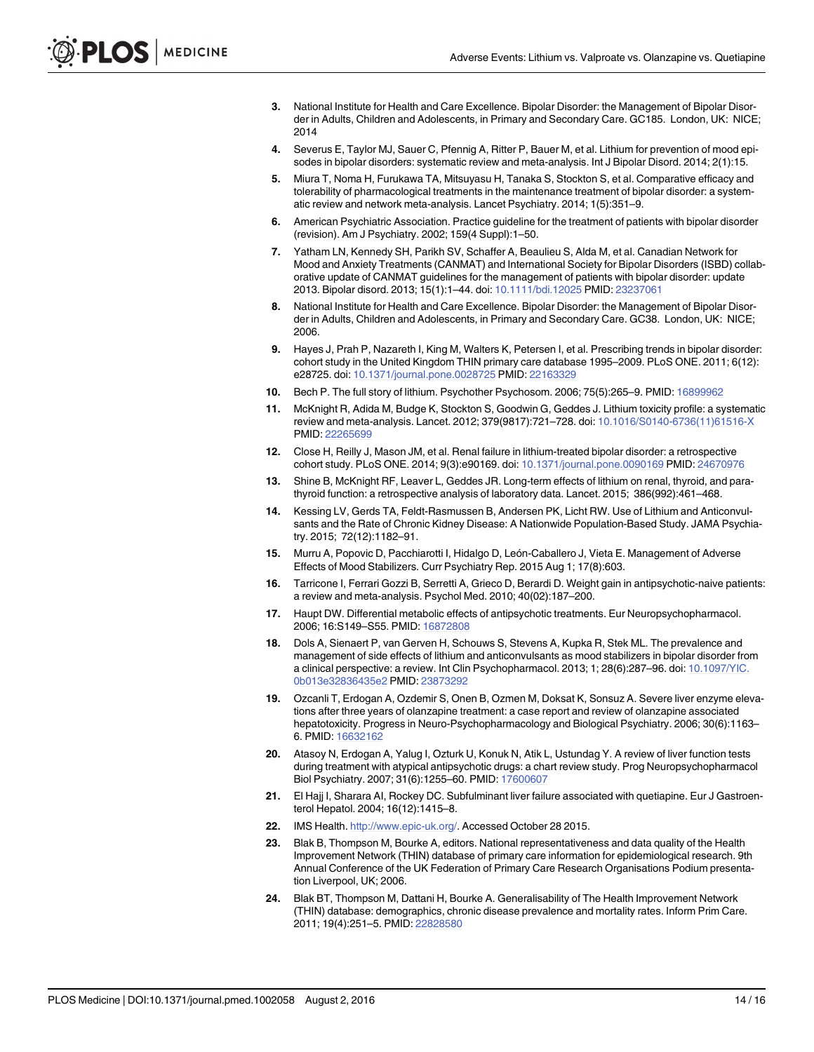- <span id="page-13-0"></span>[3.](#page-2-0) National Institute for Health and Care Excellence. Bipolar Disorder: the Management of Bipolar Disorder in Adults, Children and Adolescents, in Primary and Secondary Care. GC185. London, UK: NICE; 2014
- [4.](#page-3-0) Severus E, Taylor MJ, Sauer C, Pfennig A, Ritter P, Bauer M, et al. Lithium for prevention of mood episodes in bipolar disorders: systematic review and meta-analysis. Int J Bipolar Disord. 2014; 2(1):15.
- [5.](#page-3-0) Miura T, Noma H, Furukawa TA, Mitsuyasu H, Tanaka S, Stockton S, et al. Comparative efficacy and tolerability of pharmacological treatments in the maintenance treatment of bipolar disorder: a systematic review and network meta-analysis. Lancet Psychiatry. 2014; 1(5):351–9.
- [6.](#page-3-0) American Psychiatric Association. Practice guideline for the treatment of patients with bipolar disorder (revision). Am J Psychiatry. 2002; 159(4 Suppl):1–50.
- [7.](#page-3-0) Yatham LN, Kennedy SH, Parikh SV, Schaffer A, Beaulieu S, Alda M, et al. Canadian Network for Mood and Anxiety Treatments (CANMAT) and International Society for Bipolar Disorders (ISBD) collaborative update of CANMAT guidelines for the management of patients with bipolar disorder: update 2013. Bipolar disord. 2013; 15(1):1–44. doi: [10.1111/bdi.12025](http://dx.doi.org/10.1111/bdi.12025) PMID: [23237061](http://www.ncbi.nlm.nih.gov/pubmed/23237061)
- [8.](#page-3-0) National Institute for Health and Care Excellence. Bipolar Disorder: the Management of Bipolar Disorder in Adults, Children and Adolescents, in Primary and Secondary Care. GC38. London, UK: NICE; 2006.
- [9.](#page-3-0) Hayes J, Prah P, Nazareth I, King M, Walters K, Petersen I, et al. Prescribing trends in bipolar disorder: cohort study in the United Kingdom THIN primary care database 1995–2009. PLoS ONE. 2011; 6(12): e28725. doi: [10.1371/journal.pone.0028725](http://dx.doi.org/10.1371/journal.pone.0028725) PMID: [22163329](http://www.ncbi.nlm.nih.gov/pubmed/22163329)
- [10.](#page-3-0) Bech P. The full story of lithium. Psychother Psychosom. 2006; 75(5):265–9. PMID: [16899962](http://www.ncbi.nlm.nih.gov/pubmed/16899962)
- [11.](#page-3-0) McKnight R, Adida M, Budge K, Stockton S, Goodwin G, Geddes J. Lithium toxicity profile: a systematic review and meta-analysis. Lancet. 2012; 379(9817):721–728. doi: [10.1016/S0140-6736\(11\)61516-X](http://dx.doi.org/10.1016/S0140-6736(11)61516-X) PMID: [22265699](http://www.ncbi.nlm.nih.gov/pubmed/22265699)
- [12.](#page-10-0) Close H, Reilly J, Mason JM, et al. Renal failure in lithium-treated bipolar disorder: a retrospective cohort study. PLoS ONE. 2014; 9(3):e90169. doi: [10.1371/journal.pone.0090169](http://dx.doi.org/10.1371/journal.pone.0090169) PMID: [24670976](http://www.ncbi.nlm.nih.gov/pubmed/24670976)
- [13.](#page-10-0) Shine B, McKnight RF, Leaver L, Geddes JR. Long-term effects of lithium on renal, thyroid, and parathyroid function: a retrospective analysis of laboratory data. Lancet. 2015; 386(992):461–468.
- [14.](#page-10-0) Kessing LV, Gerds TA, Feldt-Rasmussen B, Andersen PK, Licht RW. Use of Lithium and Anticonvulsants and the Rate of Chronic Kidney Disease: A Nationwide Population-Based Study. JAMA Psychiatry. 2015; 72(12):1182–91.
- [15.](#page-3-0) Murru A, Popovic D, Pacchiarotti I, Hidalgo D, León-Caballero J, Vieta E. Management of Adverse Effects of Mood Stabilizers. Curr Psychiatry Rep. 2015 Aug 1; 17(8):603.
- [16.](#page-3-0) Tarricone I, Ferrari Gozzi B, Serretti A, Grieco D, Berardi D. Weight gain in antipsychotic-naive patients: a review and meta-analysis. Psychol Med. 2010; 40(02):187–200.
- [17.](#page-3-0) Haupt DW. Differential metabolic effects of antipsychotic treatments. Eur Neuropsychopharmacol. 2006; 16:S149–S55. PMID: [16872808](http://www.ncbi.nlm.nih.gov/pubmed/16872808)
- [18.](#page-3-0) Dols A, Sienaert P, van Gerven H, Schouws S, Stevens A, Kupka R, Stek ML. The prevalence and management of side effects of lithium and anticonvulsants as mood stabilizers in bipolar disorder from a clinical perspective: a review. Int Clin Psychopharmacol. 2013; 1; 28(6):287–96. doi: [10.1097/YIC.](http://dx.doi.org/10.1097/YIC.0b013e32836435e2) [0b013e32836435e2](http://dx.doi.org/10.1097/YIC.0b013e32836435e2) PMID: [23873292](http://www.ncbi.nlm.nih.gov/pubmed/23873292)
- [19.](#page-3-0) Ozcanli T, Erdogan A, Ozdemir S, Onen B, Ozmen M, Doksat K, Sonsuz A. Severe liver enzyme elevations after three years of olanzapine treatment: a case report and review of olanzapine associated hepatotoxicity. Progress in Neuro-Psychopharmacology and Biological Psychiatry. 2006; 30(6):1163– 6. PMID: [16632162](http://www.ncbi.nlm.nih.gov/pubmed/16632162)
- [20.](#page-11-0) Atasoy N, Erdogan A, Yalug I, Ozturk U, Konuk N, Atik L, Ustundag Y. A review of liver function tests during treatment with atypical antipsychotic drugs: a chart review study. Prog Neuropsychopharmacol Biol Psychiatry. 2007; 31(6):1255–60. PMID: [17600607](http://www.ncbi.nlm.nih.gov/pubmed/17600607)
- [21.](#page-3-0) El Hajj I, Sharara AI, Rockey DC. Subfulminant liver failure associated with quetiapine. Eur J Gastroenterol Hepatol. 2004; 16(12):1415–8.
- [22.](#page-3-0) IMS Health. [http://www.epic-uk.org/.](http://www.epic-uk.org/) Accessed October 28 2015.
- [23.](#page-3-0) Blak B, Thompson M, Bourke A, editors. National representativeness and data quality of the Health Improvement Network (THIN) database of primary care information for epidemiological research. 9th Annual Conference of the UK Federation of Primary Care Research Organisations Podium presentation Liverpool, UK; 2006.
- [24.](#page-3-0) Blak BT, Thompson M, Dattani H, Bourke A. Generalisability of The Health Improvement Network (THIN) database: demographics, chronic disease prevalence and mortality rates. Inform Prim Care. 2011; 19(4):251–5. PMID: [22828580](http://www.ncbi.nlm.nih.gov/pubmed/22828580)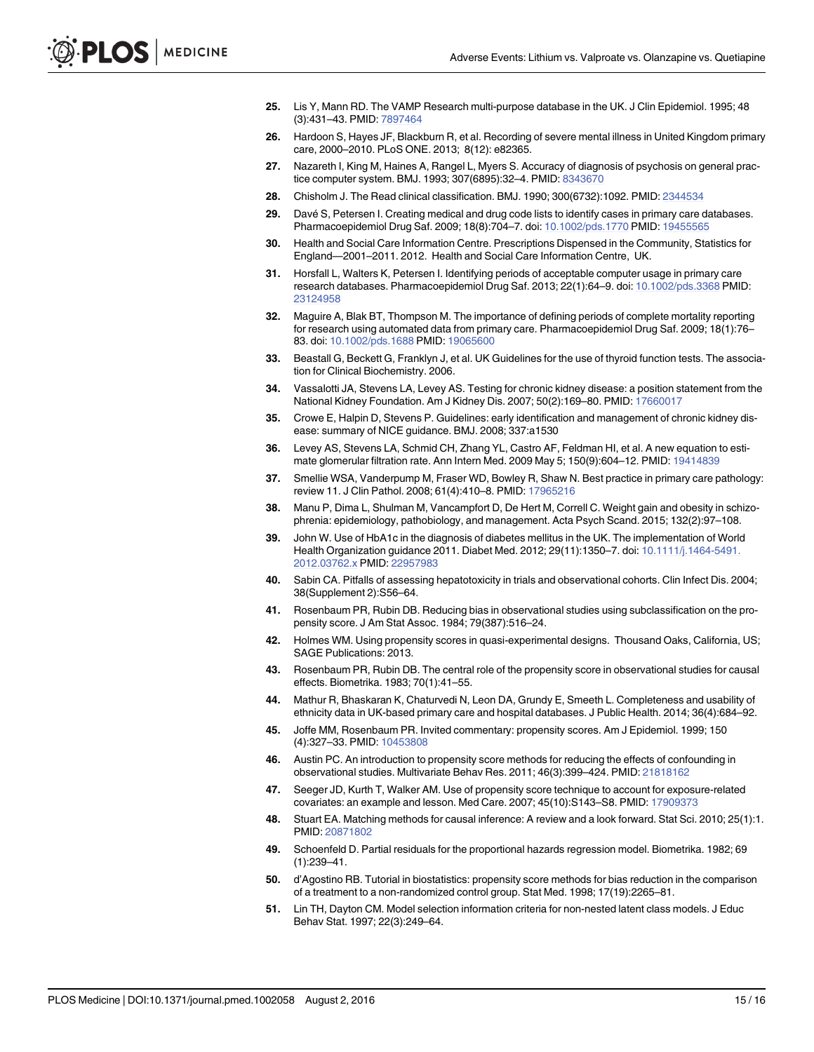- <span id="page-14-0"></span>[25.](#page-3-0) Lis Y, Mann RD. The VAMP Research multi-purpose database in the UK. J Clin Epidemiol. 1995; 48 (3):431–43. PMID: [7897464](http://www.ncbi.nlm.nih.gov/pubmed/7897464)
- [26.](#page-3-0) Hardoon S, Hayes JF, Blackburn R, et al. Recording of severe mental illness in United Kingdom primary care, 2000–2010. PLoS ONE. 2013; 8(12): e82365.
- [27.](#page-3-0) Nazareth I, King M, Haines A, Rangel L, Myers S. Accuracy of diagnosis of psychosis on general prac-tice computer system. BMJ. 1993; 307(6895):32-4. PMID: [8343670](http://www.ncbi.nlm.nih.gov/pubmed/8343670)
- [28.](#page-4-0) Chisholm J. The Read clinical classification. BMJ. 1990; 300(6732):1092. PMID: [2344534](http://www.ncbi.nlm.nih.gov/pubmed/2344534)
- [29.](#page-4-0) Davé S, Petersen I. Creating medical and drug code lists to identify cases in primary care databases. Pharmacoepidemiol Drug Saf. 2009; 18(8):704–7. doi: [10.1002/pds.1770](http://dx.doi.org/10.1002/pds.1770) PMID: [19455565](http://www.ncbi.nlm.nih.gov/pubmed/19455565)
- [30.](#page-4-0) Health and Social Care Information Centre. Prescriptions Dispensed in the Community, Statistics for England—2001–2011. 2012. Health and Social Care Information Centre, UK.
- [31.](#page-4-0) Horsfall L, Walters K, Petersen I. Identifying periods of acceptable computer usage in primary care research databases. Pharmacoepidemiol Drug Saf. 2013; 22(1):64–9. doi: [10.1002/pds.3368](http://dx.doi.org/10.1002/pds.3368) PMID: [23124958](http://www.ncbi.nlm.nih.gov/pubmed/23124958)
- [32.](#page-4-0) Maguire A, Blak BT, Thompson M. The importance of defining periods of complete mortality reporting for research using automated data from primary care. Pharmacoepidemiol Drug Saf. 2009; 18(1):76– 83. doi: [10.1002/pds.1688](http://dx.doi.org/10.1002/pds.1688) PMID: [19065600](http://www.ncbi.nlm.nih.gov/pubmed/19065600)
- [33.](#page-4-0) Beastall G, Beckett G, Franklyn J, et al. UK Guidelines for the use of thyroid function tests. The association for Clinical Biochemistry. 2006.
- [34.](#page-4-0) Vassalotti JA, Stevens LA, Levey AS. Testing for chronic kidney disease: a position statement from the National Kidney Foundation. Am J Kidney Dis. 2007; 50(2):169–80. PMID: [17660017](http://www.ncbi.nlm.nih.gov/pubmed/17660017)
- [35.](#page-4-0) Crowe E, Halpin D, Stevens P. Guidelines: early identification and management of chronic kidney disease: summary of NICE guidance. BMJ. 2008; 337:a1530
- [36.](#page-4-0) Levey AS, Stevens LA, Schmid CH, Zhang YL, Castro AF, Feldman HI, et al. A new equation to estimate glomerular filtration rate. Ann Intern Med. 2009 May 5; 150(9):604–12. PMID: [19414839](http://www.ncbi.nlm.nih.gov/pubmed/19414839)
- [37.](#page-4-0) Smellie WSA, Vanderpump M, Fraser WD, Bowley R, Shaw N. Best practice in primary care pathology: review 11. J Clin Pathol. 2008; 61(4):410–8. PMID: [17965216](http://www.ncbi.nlm.nih.gov/pubmed/17965216)
- [38.](#page-4-0) Manu P, Dima L, Shulman M, Vancampfort D, De Hert M, Correll C. Weight gain and obesity in schizophrenia: epidemiology, pathobiology, and management. Acta Psych Scand. 2015; 132(2):97–108.
- [39.](#page-4-0) John W. Use of HbA1c in the diagnosis of diabetes mellitus in the UK. The implementation of World Health Organization guidance 2011. Diabet Med. 2012; 29(11):1350–7. doi: [10.1111/j.1464-5491.](http://dx.doi.org/10.1111/j.1464-5491.2012.03762.x) [2012.03762.x](http://dx.doi.org/10.1111/j.1464-5491.2012.03762.x) PMID: [22957983](http://www.ncbi.nlm.nih.gov/pubmed/22957983)
- [40.](#page-5-0) Sabin CA. Pitfalls of assessing hepatotoxicity in trials and observational cohorts. Clin Infect Dis. 2004; 38(Supplement 2):S56–64.
- [41.](#page-5-0) Rosenbaum PR, Rubin DB. Reducing bias in observational studies using subclassification on the propensity score. J Am Stat Assoc. 1984; 79(387):516–24.
- [42.](#page-5-0) Holmes WM. Using propensity scores in quasi-experimental designs. Thousand Oaks, California, US; SAGE Publications: 2013.
- [43.](#page-5-0) Rosenbaum PR, Rubin DB. The central role of the propensity score in observational studies for causal effects. Biometrika. 1983; 70(1):41–55.
- [44.](#page-5-0) Mathur R, Bhaskaran K, Chaturvedi N, Leon DA, Grundy E, Smeeth L. Completeness and usability of ethnicity data in UK-based primary care and hospital databases. J Public Health. 2014; 36(4):684–92.
- [45.](#page-5-0) Joffe MM, Rosenbaum PR. Invited commentary: propensity scores. Am J Epidemiol. 1999; 150 (4):327–33. PMID: [10453808](http://www.ncbi.nlm.nih.gov/pubmed/10453808)
- 46. Austin PC. An introduction to propensity score methods for reducing the effects of confounding in observational studies. Multivariate Behav Res. 2011; 46(3):399–424. PMID: [21818162](http://www.ncbi.nlm.nih.gov/pubmed/21818162)
- [47.](#page-5-0) Seeger JD, Kurth T, Walker AM. Use of propensity score technique to account for exposure-related covariates: an example and lesson. Med Care. 2007; 45(10):S143–S8. PMID: [17909373](http://www.ncbi.nlm.nih.gov/pubmed/17909373)
- [48.](#page-5-0) Stuart EA. Matching methods for causal inference: A review and a look forward. Stat Sci. 2010; 25(1):1. PMID: [20871802](http://www.ncbi.nlm.nih.gov/pubmed/20871802)
- [49.](#page-5-0) Schoenfeld D. Partial residuals for the proportional hazards regression model. Biometrika. 1982; 69 (1):239–41.
- [50.](#page-5-0) d'Agostino RB. Tutorial in biostatistics: propensity score methods for bias reduction in the comparison of a treatment to a non-randomized control group. Stat Med. 1998; 17(19):2265–81.
- [51.](#page-5-0) Lin TH, Dayton CM. Model selection information criteria for non-nested latent class models. J Educ Behav Stat. 1997; 22(3):249–64.